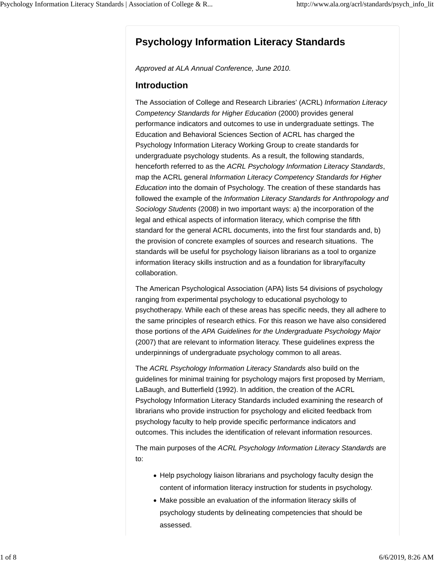# **Psychology Information Literacy Standards**

*Approved at ALA Annual Conference, June 2010.*

#### **Introduction**

The Association of College and Research Libraries' (ACRL) *Information Literacy Competency Standards for Higher Education* (2000) provides general performance indicators and outcomes to use in undergraduate settings. The Education and Behavioral Sciences Section of ACRL has charged the Psychology Information Literacy Working Group to create standards for undergraduate psychology students. As a result, the following standards, henceforth referred to as the *ACRL Psychology Information Literacy Standards*, map the ACRL general *Information Literacy Competency Standards for Higher Education* into the domain of Psychology. The creation of these standards has followed the example of the *Information Literacy Standards for Anthropology and Sociology Students* (2008) in two important ways: a) the incorporation of the legal and ethical aspects of information literacy, which comprise the fifth standard for the general ACRL documents, into the first four standards and, b) the provision of concrete examples of sources and research situations. The standards will be useful for psychology liaison librarians as a tool to organize information literacy skills instruction and as a foundation for library/faculty collaboration.

The American Psychological Association (APA) lists 54 divisions of psychology ranging from experimental psychology to educational psychology to psychotherapy. While each of these areas has specific needs, they all adhere to the same principles of research ethics. For this reason we have also considered those portions of the *APA Guidelines for the Undergraduate Psychology Major* (2007) that are relevant to information literacy. These guidelines express the underpinnings of undergraduate psychology common to all areas.

The *ACRL Psychology Information Literacy Standards* also build on the guidelines for minimal training for psychology majors first proposed by Merriam, LaBaugh, and Butterfield (1992). In addition, the creation of the ACRL Psychology Information Literacy Standards included examining the research of librarians who provide instruction for psychology and elicited feedback from psychology faculty to help provide specific performance indicators and outcomes. This includes the identification of relevant information resources.

The main purposes of the *ACRL Psychology Information Literacy Standards* are to:

- Help psychology liaison librarians and psychology faculty design the content of information literacy instruction for students in psychology.
- Make possible an evaluation of the information literacy skills of psychology students by delineating competencies that should be assessed.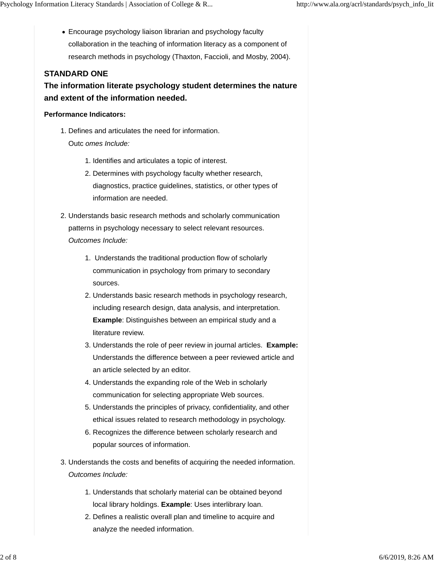Encourage psychology liaison librarian and psychology faculty collaboration in the teaching of information literacy as a component of research methods in psychology (Thaxton, Faccioli, and Mosby, 2004).

### **STANDARD ONE**

**The information literate psychology student determines the nature and extent of the information needed.**

#### **Performance Indicators:**

- 1. Defines and articulates the need for information. Outc *omes Include:*
	- 1. Identifies and articulates a topic of interest.
	- 2. Determines with psychology faculty whether research, diagnostics, practice guidelines, statistics, or other types of information are needed.
- 2. Understands basic research methods and scholarly communication patterns in psychology necessary to select relevant resources. *Outcomes Include:*
	- 1. Understands the traditional production flow of scholarly communication in psychology from primary to secondary sources.
	- 2. Understands basic research methods in psychology research, including research design, data analysis, and interpretation. **Example**: Distinguishes between an empirical study and a literature review.
	- 3. Understands the role of peer review in journal articles. Example: Understands the difference between a peer reviewed article and an article selected by an editor.
	- 4. Understands the expanding role of the Web in scholarly communication for selecting appropriate Web sources.
	- 5. Understands the principles of privacy, confidentiality, and other ethical issues related to research methodology in psychology.
	- 6. Recognizes the difference between scholarly research and popular sources of information.
- 3. Understands the costs and benefits of acquiring the needed information. *Outcomes Include:*
	- 1. Understands that scholarly material can be obtained beyond local library holdings. **Example**: Uses interlibrary loan.
	- 2. Defines a realistic overall plan and timeline to acquire and analyze the needed information.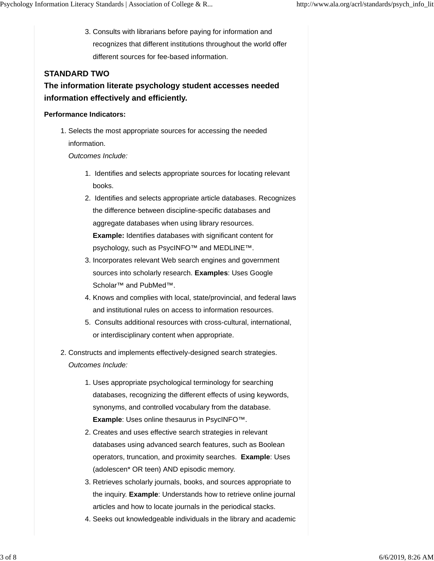3. Consults with librarians before paying for information and recognizes that different institutions throughout the world offer different sources for fee-based information.

### **STANDARD TWO**

**The information literate psychology student accesses needed information effectively and efficiently.**

#### **Performance Indicators:**

1. Selects the most appropriate sources for accessing the needed information.

*Outcomes Include:*

- 1. Identifies and selects appropriate sources for locating relevant books.
- 2. Identifies and selects appropriate article databases. Recognizes the difference between discipline-specific databases and aggregate databases when using library resources. **Example:** Identifies databases with significant content for psychology, such as PsycINFO™ and MEDLINE™.
- 3. Incorporates relevant Web search engines and government sources into scholarly research. **Examples**: Uses Google Scholar<sup>™</sup> and PubMed<sup>™</sup>.
- 4. Knows and complies with local, state/provincial, and federal laws and institutional rules on access to information resources.
- 5. Consults additional resources with cross-cultural, international, or interdisciplinary content when appropriate.
- 2. Constructs and implements effectively-designed search strategies. *Outcomes Include:*
	- 1. Uses appropriate psychological terminology for searching databases, recognizing the different effects of using keywords, synonyms, and controlled vocabulary from the database. **Example**: Uses online thesaurus in PsycINFO™.
	- 2. Creates and uses effective search strategies in relevant databases using advanced search features, such as Boolean operators, truncation, and proximity searches. **Example**: Uses (adolescen\* OR teen) AND episodic memory.
	- 3. Retrieves scholarly journals, books, and sources appropriate to the inquiry. **Example**: Understands how to retrieve online journal articles and how to locate journals in the periodical stacks.
	- 4. Seeks out knowledgeable individuals in the library and academic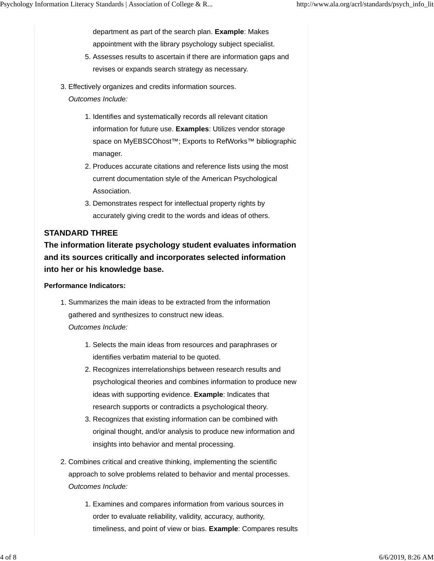department as part of the search plan. **Example**: Makes appointment with the library psychology subject specialist.

- 5. Assesses results to ascertain if there are information gaps and revises or expands search strategy as necessary.
- 3. Effectively organizes and credits information sources.
	- *Outcomes Include:*
		- 1. Identifies and systematically records all relevant citation information for future use. **Examples**: Utilizes vendor storage space on MyEBSCOhost™; Exports to RefWorks™ bibliographic manager.
		- 2. Produces accurate citations and reference lists using the most current documentation style of the American Psychological Association.
		- 3. Demonstrates respect for intellectual property rights by accurately giving credit to the words and ideas of others.

### **STANDARD THREE**

**The information literate psychology student evaluates information and its sources critically and incorporates selected information into her or his knowledge base.**

#### **Performance Indicators:**

- 1. Summarizes the main ideas to be extracted from the information gathered and synthesizes to construct new ideas. *Outcomes Include:* 
	- 1. Selects the main ideas from resources and paraphrases or identifies verbatim material to be quoted.
	- 2. Recognizes interrelationships between research results and psychological theories and combines information to produce new ideas with supporting evidence. **Example**: Indicates that research supports or contradicts a psychological theory.
	- 3. Recognizes that existing information can be combined with original thought, and/or analysis to produce new information and insights into behavior and mental processing.
- 2. Combines critical and creative thinking, implementing the scientific approach to solve problems related to behavior and mental processes. *Outcomes Include:*
	- 1. Examines and compares information from various sources in order to evaluate reliability, validity, accuracy, authority, timeliness, and point of view or bias. **Example**: Compares results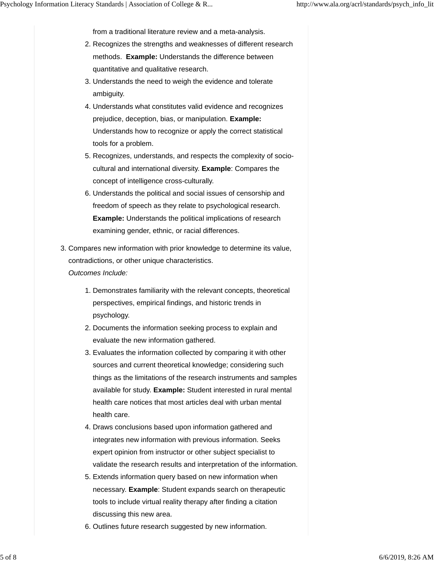from a traditional literature review and a meta-analysis.

- 2. Recognizes the strengths and weaknesses of different research methods. **Example:** Understands the difference between quantitative and qualitative research.
- 3. Understands the need to weigh the evidence and tolerate ambiguity.
- Understands what constitutes valid evidence and recognizes 4. prejudice, deception, bias, or manipulation. **Example:** Understands how to recognize or apply the correct statistical tools for a problem.
- 5. Recognizes, understands, and respects the complexity of sociocultural and international diversity. **Example**: Compares the concept of intelligence cross-culturally.
- 6. Understands the political and social issues of censorship and freedom of speech as they relate to psychological research. **Example:** Understands the political implications of research examining gender, ethnic, or racial differences.
- 3. Compares new information with prior knowledge to determine its value, contradictions, or other unique characteristics.
	- *Outcomes Include:*
		- 1. Demonstrates familiarity with the relevant concepts, theoretical perspectives, empirical findings, and historic trends in psychology.
		- 2. Documents the information seeking process to explain and evaluate the new information gathered.
		- 3. Evaluates the information collected by comparing it with other sources and current theoretical knowledge; considering such things as the limitations of the research instruments and samples available for study. **Example:** Student interested in rural mental health care notices that most articles deal with urban mental health care.
		- 4. Draws conclusions based upon information gathered and integrates new information with previous information. Seeks expert opinion from instructor or other subject specialist to validate the research results and interpretation of the information.
		- Extends information query based on new information when 5. necessary. **Example**: Student expands search on therapeutic tools to include virtual reality therapy after finding a citation discussing this new area.
		- 6. Outlines future research suggested by new information.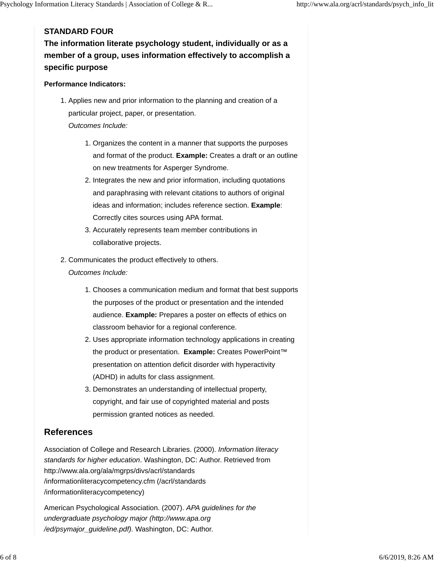## **STANDARD FOUR**

**The information literate psychology student, individually or as a member of a group, uses information effectively to accomplish a specific purpose**

#### **Performance Indicators:**

- 1. Applies new and prior information to the planning and creation of a particular project, paper, or presentation. *Outcomes Include:*
	- 1. Organizes the content in a manner that supports the purposes and format of the product. **Example:** Creates a draft or an outline on new treatments for Asperger Syndrome.
	- 2. Integrates the new and prior information, including quotations and paraphrasing with relevant citations to authors of original ideas and information; includes reference section. **Example**: Correctly cites sources using APA format.
	- 3. Accurately represents team member contributions in collaborative projects.
- 2. Communicates the product effectively to others.
	- *Outcomes Include:*
		- Chooses a communication medium and format that best supports 1. the purposes of the product or presentation and the intended audience. **Example:** Prepares a poster on effects of ethics on classroom behavior for a regional conference.
		- 2. Uses appropriate information technology applications in creating the product or presentation. **Example:** Creates PowerPoint™ presentation on attention deficit disorder with hyperactivity (ADHD) in adults for class assignment.
		- 3. Demonstrates an understanding of intellectual property, copyright, and fair use of copyrighted material and posts permission granted notices as needed.

# **References**

Association of College and Research Libraries. (2000). *Information literacy standards for higher education*. Washington, DC: Author. Retrieved from http://www.ala.org/ala/mgrps/divs/acrl/standards /informationliteracycompetency.cfm (/acrl/standards /informationliteracycompetency)

American Psychological Association. (2007). *APA guidelines for the undergraduate psychology major (http://www.apa.org /ed/psymajor\_guideline.pdf).* Washington, DC: Author.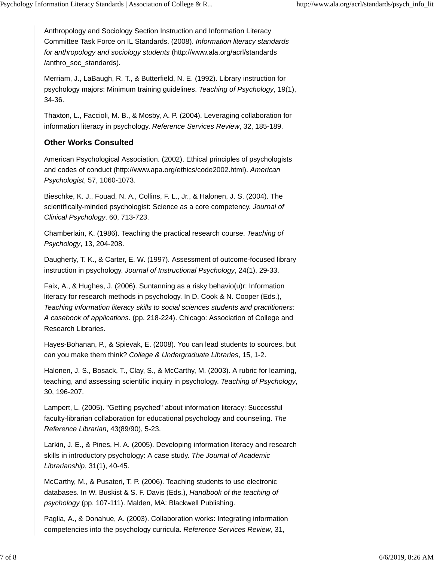Anthropology and Sociology Section Instruction and Information Literacy Committee Task Force on IL Standards. (2008). *Information literacy standards for anthropology and sociology students* (http://www.ala.org/acrl/standards /anthro\_soc\_standards).

Merriam, J., LaBaugh, R. T., & Butterfield, N. E. (1992). Library instruction for psychology majors: Minimum training guidelines. *Teaching of Psychology*, 19(1), 34-36.

Thaxton, L., Faccioli, M. B., & Mosby, A. P. (2004). Leveraging collaboration for information literacy in psychology. *Reference Services Review*, 32, 185-189.

# **Other Works Consulted**

American Psychological Association. (2002). Ethical principles of psychologists and codes of conduct (http://www.apa.org/ethics/code2002.html). *American Psychologist*, 57, 1060-1073.

Bieschke, K. J., Fouad, N. A., Collins, F. L., Jr., & Halonen, J. S. (2004). The scientifically-minded psychologist: Science as a core competency. *Journal of Clinical Psychology*. 60, 713-723.

Chamberlain, K. (1986). Teaching the practical research course. *Teaching of Psychology*, 13, 204-208.

Daugherty, T. K., & Carter, E. W. (1997). Assessment of outcome-focused library instruction in psychology. *Journal of Instructional Psychology*, 24(1), 29-33.

Faix, A., & Hughes, J. (2006). Suntanning as a risky behavio(u)r: Information literacy for research methods in psychology. In D. Cook & N. Cooper (Eds.), *Teaching information literacy skills to social sciences students and practitioners: A casebook of applications*. (pp. 218-224). Chicago: Association of College and Research Libraries.

Hayes-Bohanan, P., & Spievak, E. (2008). You can lead students to sources, but can you make them think? *College & Undergraduate Libraries*, 15, 1-2.

Halonen, J. S., Bosack, T., Clay, S., & McCarthy, M. (2003). A rubric for learning, teaching, and assessing scientific inquiry in psychology. *Teaching of Psychology*, 30, 196-207.

Lampert, L. (2005). "Getting psyched" about information literacy: Successful faculty-librarian collaboration for educational psychology and counseling. *The Reference Librarian*, 43(89/90), 5-23.

Larkin, J. E., & Pines, H. A. (2005). Developing information literacy and research skills in introductory psychology: A case study. *The Journal of Academic Librarianship*, 31(1), 40-45.

McCarthy, M., & Pusateri, T. P. (2006). Teaching students to use electronic databases. In W. Buskist & S. F. Davis (Eds.), *Handbook of the teaching of psychology* (pp. 107-111). Malden, MA: Blackwell Publishing.

Paglia, A., & Donahue, A. (2003). Collaboration works: Integrating information competencies into the psychology curricula. *Reference Services Review*, 31,